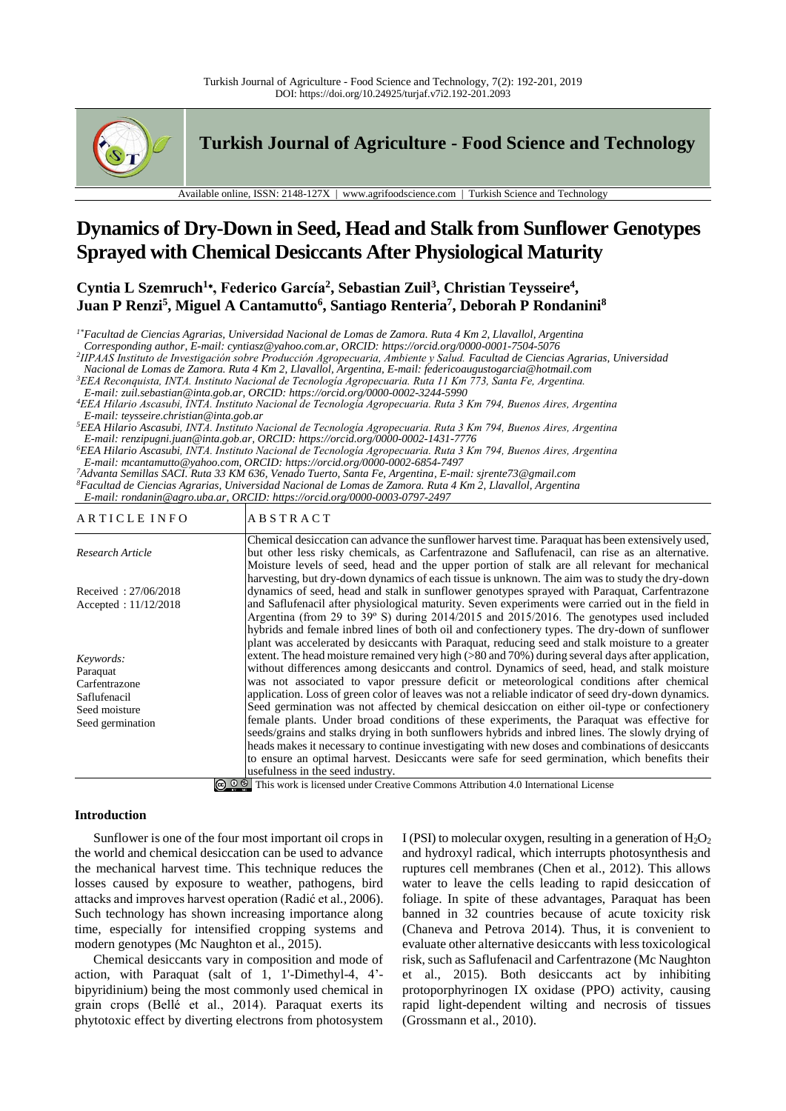

**Turkish Journal of Agriculture - Food Science and Technology**

Available online, ISSN: 2148-127X | www.agrifoodscience.com | Turkish Science and Technology

# **Dynamics of Dry-Down in Seed, Head and Stalk from Sunflower Genotypes Sprayed with Chemical Desiccants After Physiological Maturity**

**Cyntia L Szemruch<sup>1</sup>**<sup>∗</sup> **, Federico García<sup>2</sup> , Sebastian Zuil<sup>3</sup> , Christian Teysseire<sup>4</sup> , Juan P Renzi<sup>5</sup> , Miguel A Cantamutto<sup>6</sup> , Santiago Renteria<sup>7</sup> , Deborah P Rondanini<sup>8</sup>**

*1\*Facultad de Ciencias Agrarias, Universidad Nacional de Lomas de Zamora. Ruta 4 Km 2, Llavallol, Argentina*

*Corresponding author, E-mail: cyntiasz@yahoo.com.ar, ORCID: https://orcid.org/0000-0001-7504-5076*

*2 IIPAAS Instituto de Investigación sobre Producción Agropecuaria, Ambiente y Salud. Facultad de Ciencias Agrarias, Universidad* 

*Nacional de Lomas de Zamora. Ruta 4 Km 2, Llavallol, Argentina, E-mail: federicoaugustogarcia@hotmail.com*

*<sup>3</sup>EEA Reconquista, INTA. Instituto Nacional de Tecnología Agropecuaria. Ruta 11 Km 773, Santa Fe, Argentina.*

*E-mail: zuil.sebastian@inta.gob.ar, ORCID: https://orcid.org/0000-0002-3244-5990*

*<sup>4</sup>EEA Hilario Ascasubi, INTA. Instituto Nacional de Tecnología Agropecuaria. Ruta 3 Km 794, Buenos Aires, Argentina E-mail: teysseire.christian@inta.gob.ar*

*<sup>5</sup>EEA Hilario Ascasubi, INTA. Instituto Nacional de Tecnología Agropecuaria. Ruta 3 Km 794, Buenos Aires, Argentina E-mail: renzipugni.juan@inta.gob.ar, ORCID: https://orcid.org/0000-0002-1431-7776*

*<sup>6</sup>EEA Hilario Ascasubi, INTA. Instituto Nacional de Tecnología Agropecuaria. Ruta 3 Km 794, Buenos Aires, Argentina E-mail: mcantamutto@yahoo.com, ORCID: https://orcid.org/0000-0002-6854-7497*

*<sup>7</sup>Advanta Semillas SACI. Ruta 33 KM 636, Venado Tuerto, Santa Fe, Argentina, E-mail: sjrente73@gmail.com <sup>8</sup>Facultad de Ciencias Agrarias, Universidad Nacional de Lomas de Zamora. Ruta 4 Km 2, Llavallol, Argentina E-mail: rondanin@agro.uba.ar, ORCID: https://orcid.org/0000-0003-0797-2497*

| ARTICLE INFO                                                                                | <b>ABSTRACT</b>                                                                                                                                                                                                                                                                                                                                                                                                                                                                                                                                                                                                                                                                                                                                                                                                                                                                                                                                             |
|---------------------------------------------------------------------------------------------|-------------------------------------------------------------------------------------------------------------------------------------------------------------------------------------------------------------------------------------------------------------------------------------------------------------------------------------------------------------------------------------------------------------------------------------------------------------------------------------------------------------------------------------------------------------------------------------------------------------------------------------------------------------------------------------------------------------------------------------------------------------------------------------------------------------------------------------------------------------------------------------------------------------------------------------------------------------|
| Research Article                                                                            | Chemical desiccation can advance the sunflower harvest time. Paraquat has been extensively used,<br>but other less risky chemicals, as Carfentrazone and Saflufenacil, can rise as an alternative.<br>Moisture levels of seed, head and the upper portion of stalk are all relevant for mechanical                                                                                                                                                                                                                                                                                                                                                                                                                                                                                                                                                                                                                                                          |
| Received: 27/06/2018<br>Accepted: $11/12/2018$                                              | harvesting, but dry-down dynamics of each tissue is unknown. The aim was to study the dry-down<br>dynamics of seed, head and stalk in sunflower genotypes sprayed with Paraquat, Carfentrazone<br>and Saflufenacil after physiological maturity. Seven experiments were carried out in the field in<br>Argentina (from 29 to 39° S) during 2014/2015 and 2015/2016. The genotypes used included<br>hybrids and female inbred lines of both oil and confectionery types. The dry-down of sunflower<br>plant was accelerated by desiccants with Paraquat, reducing seed and stalk moisture to a greater                                                                                                                                                                                                                                                                                                                                                       |
| Keywords:<br>Paraquat<br>Carfentrazone<br>Saflufenacil<br>Seed moisture<br>Seed germination | extent. The head moisture remained very high $(>80 \text{ and } 70\%)$ during several days after application,<br>without differences among desiccants and control. Dynamics of seed, head, and stalk moisture<br>was not associated to vapor pressure deficit or meteorological conditions after chemical<br>application. Loss of green color of leaves was not a reliable indicator of seed dry-down dynamics.<br>Seed germination was not affected by chemical desiccation on either oil-type or confectionery<br>female plants. Under broad conditions of these experiments, the Paraquat was effective for<br>seeds/grains and stalks drying in both sunflowers hybrids and inbred lines. The slowly drying of<br>heads makes it necessary to continue investigating with new doses and combinations of desiccants<br>to ensure an optimal harvest. Desiccants were safe for seed germination, which benefits their<br>usefulness in the seed industry. |
|                                                                                             | $\bigcirc$ $\bigcirc$ $\bigcirc$ This work is licensed under Creative Commons Attribution 4.0 International License                                                                                                                                                                                                                                                                                                                                                                                                                                                                                                                                                                                                                                                                                                                                                                                                                                         |

**Introduction**

Sunflower is one of the four most important oil crops in the world and chemical desiccation can be used to advance the mechanical harvest time. This technique reduces the losses caused by exposure to weather, pathogens, bird attacks and improves harvest operation (Radić et al*.,* 2006). Such technology has shown increasing importance along time, especially for intensified cropping systems and modern genotypes (Mc Naughton et al., 2015).

Chemical desiccants vary in composition and mode of action, with Paraquat (salt of 1, 1'-Dimethyl-4, 4' bipyridinium) being the most commonly used chemical in grain crops (Bellé et al., 2014). Paraquat exerts its phytotoxic effect by diverting electrons from photosystem I (PSI) to molecular oxygen, resulting in a generation of  $H_2O_2$ and hydroxyl radical, which interrupts photosynthesis and ruptures cell membranes (Chen et al., 2012). This allows water to leave the cells leading to rapid desiccation of foliage. In spite of these advantages, Paraquat has been banned in 32 countries because of acute toxicity risk (Chaneva and Petrova 2014). Thus, it is convenient to evaluate other alternative desiccants with less toxicological risk, such as Saflufenacil and Carfentrazone (Mc Naughton et al., 2015). Both desiccants act by inhibiting protoporphyrinogen IX oxidase (PPO) activity, causing rapid light-dependent wilting and necrosis of tissues (Grossmann et al., 2010).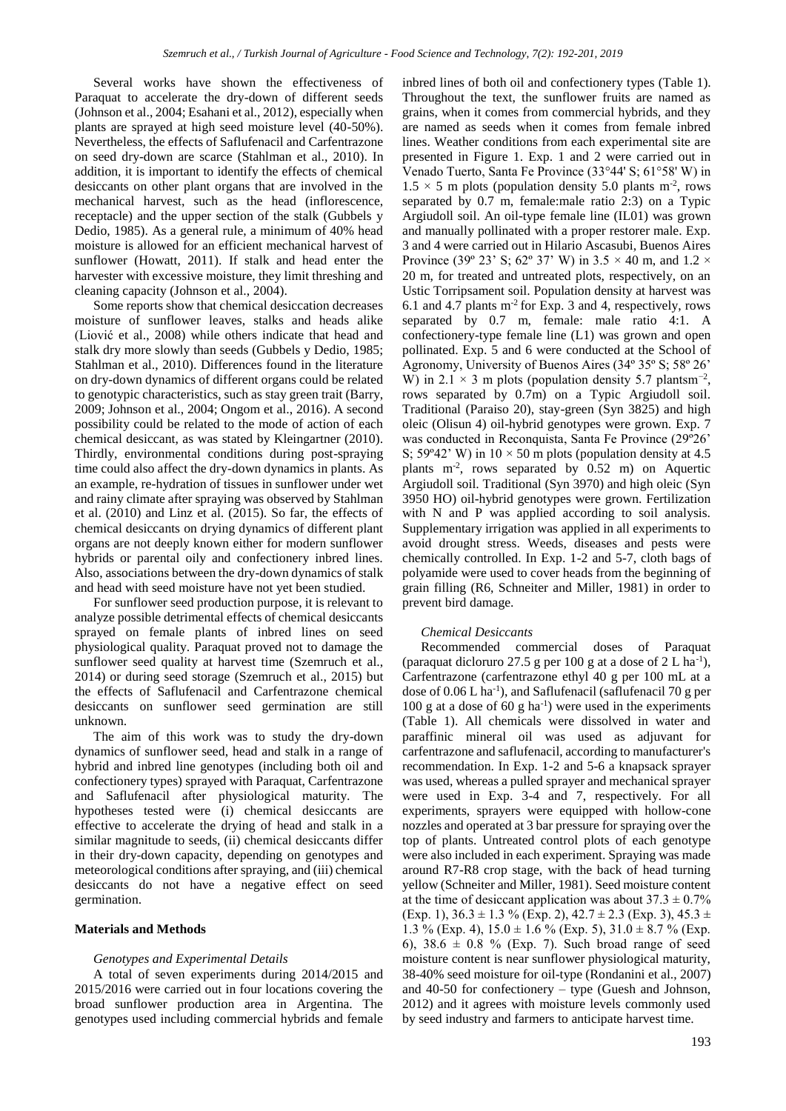Several works have shown the effectiveness of Paraquat to accelerate the dry-down of different seeds (Johnson et al., 2004; Esahani et al., 2012), especially when plants are sprayed at high seed moisture level (40-50%). Nevertheless, the effects of Saflufenacil and Carfentrazone on seed dry-down are scarce (Stahlman et al., 2010). In addition, it is important to identify the effects of chemical desiccants on other plant organs that are involved in the mechanical harvest, such as the head (inflorescence, receptacle) and the upper section of the stalk (Gubbels y Dedio, 1985). As a general rule, a minimum of 40% head moisture is allowed for an efficient mechanical harvest of sunflower (Howatt, 2011). If stalk and head enter the harvester with excessive moisture, they limit threshing and cleaning capacity (Johnson et al., 2004).

Some reports show that chemical desiccation decreases moisture of sunflower leaves, stalks and heads alike (Liović et al., 2008) while others indicate that head and stalk dry more slowly than seeds (Gubbels y Dedio, 1985; Stahlman et al., 2010). Differences found in the literature on dry-down dynamics of different organs could be related to genotypic characteristics, such as stay green trait (Barry, 2009; Johnson et al., 2004; Ongom et al., 2016). A second possibility could be related to the mode of action of each chemical desiccant, as was stated by Kleingartner (2010). Thirdly, environmental conditions during post-spraying time could also affect the dry-down dynamics in plants. As an example, re-hydration of tissues in sunflower under wet and rainy climate after spraying was observed by Stahlman et al. (2010) and Linz et al. (2015). So far, the effects of chemical desiccants on drying dynamics of different plant organs are not deeply known either for modern sunflower hybrids or parental oily and confectionery inbred lines. Also, associations between the dry-down dynamics of stalk and head with seed moisture have not yet been studied.

For sunflower seed production purpose, it is relevant to analyze possible detrimental effects of chemical desiccants sprayed on female plants of inbred lines on seed physiological quality. Paraquat proved not to damage the sunflower seed quality at harvest time (Szemruch et al., 2014) or during seed storage (Szemruch et al., 2015) but the effects of Saflufenacil and Carfentrazone chemical desiccants on sunflower seed germination are still unknown.

The aim of this work was to study the dry-down dynamics of sunflower seed, head and stalk in a range of hybrid and inbred line genotypes (including both oil and confectionery types) sprayed with Paraquat, Carfentrazone and Saflufenacil after physiological maturity. The hypotheses tested were (i) chemical desiccants are effective to accelerate the drying of head and stalk in a similar magnitude to seeds, (ii) chemical desiccants differ in their dry-down capacity, depending on genotypes and meteorological conditions after spraying, and (iii) chemical desiccants do not have a negative effect on seed germination.

## **Materials and Methods**

#### *Genotypes and Experimental Details*

A total of seven experiments during 2014/2015 and 2015/2016 were carried out in four locations covering the broad sunflower production area in Argentina. The genotypes used including commercial hybrids and female inbred lines of both oil and confectionery types (Table 1). Throughout the text, the sunflower fruits are named as grains, when it comes from commercial hybrids, and they are named as seeds when it comes from female inbred lines. Weather conditions from each experimental site are presented in Figure 1. Exp. 1 and 2 were carried out in Venado Tuerto, Santa Fe Province (33°44' S; 61°58' W) in  $1.5 \times 5$  m plots (population density 5.0 plants m<sup>-2</sup>, rows separated by 0.7 m, female:male ratio 2:3) on a Typic Argiudoll soil. An oil-type female line (IL01) was grown and manually pollinated with a proper restorer male. Exp. 3 and 4 were carried out in Hilario Ascasubi, Buenos Aires Province (39° 23' S; 62° 37' W) in 3.5  $\times$  40 m, and 1.2  $\times$ 20 m, for treated and untreated plots, respectively, on an Ustic Torripsament soil. Population density at harvest was 6.1 and 4.7 plants  $m<sup>2</sup>$  for Exp. 3 and 4, respectively, rows separated by 0.7 m, female: male ratio 4:1. A confectionery-type female line (L1) was grown and open pollinated. Exp. 5 and 6 were conducted at the School of Agronomy, University of Buenos Aires (34º 35º S; 58º 26' W) in 2.1  $\times$  3 m plots (population density 5.7 plantsm<sup>-2</sup>, rows separated by 0.7m) on a Typic Argiudoll soil. Traditional (Paraiso 20), stay-green (Syn 3825) and high oleic (Olisun 4) oil-hybrid genotypes were grown. Exp. 7 was conducted in Reconquista, Santa Fe Province (29º26' S;  $59^{\circ}42'$  W) in  $10 \times 50$  m plots (population density at 4.5 plants  $m<sup>-2</sup>$ , rows separated by 0.52 m) on Aquertic Argiudoll soil. Traditional (Syn 3970) and high oleic (Syn 3950 HO) oil-hybrid genotypes were grown. Fertilization with N and P was applied according to soil analysis. Supplementary irrigation was applied in all experiments to avoid drought stress. Weeds, diseases and pests were chemically controlled. In Exp. 1-2 and 5-7, cloth bags of polyamide were used to cover heads from the beginning of grain filling (R6, Schneiter and Miller, 1981) in order to prevent bird damage.

## *Chemical Desiccants*

Recommended commercial doses of Paraquat (paraquat dicloruro 27.5 g per 100 g at a dose of  $2 L ha^{-1}$ ), Carfentrazone (carfentrazone ethyl 40 g per 100 mL at a dose of 0.06 L ha<sup>-1</sup>), and Saflufenacil (saflufenacil 70 g per 100 g at a dose of 60 g ha<sup>-1</sup>) were used in the experiments (Table 1). All chemicals were dissolved in water and paraffinic mineral oil was used as adjuvant for carfentrazone and saflufenacil, according to manufacturer's recommendation. In Exp. 1-2 and 5-6 a knapsack sprayer was used, whereas a pulled sprayer and mechanical sprayer were used in Exp. 3-4 and 7, respectively. For all experiments, sprayers were equipped with hollow-cone nozzles and operated at 3 bar pressure for spraying over the top of plants. Untreated control plots of each genotype were also included in each experiment. Spraying was made around R7-R8 crop stage, with the back of head turning yellow (Schneiter and Miller, 1981). Seed moisture content at the time of desiccant application was about  $37.3 \pm 0.7\%$ (Exp. 1),  $36.3 \pm 1.3$  % (Exp. 2),  $42.7 \pm 2.3$  (Exp. 3),  $45.3 \pm$ 1.3 % (Exp. 4),  $15.0 \pm 1.6$  % (Exp. 5),  $31.0 \pm 8.7$  % (Exp. 6),  $38.6 \pm 0.8$  % (Exp. 7). Such broad range of seed moisture content is near sunflower physiological maturity, 38-40% seed moisture for oil-type (Rondanini et al., 2007) and 40-50 for confectionery – type (Guesh and Johnson, 2012) and it agrees with moisture levels commonly used by seed industry and farmers to anticipate harvest time.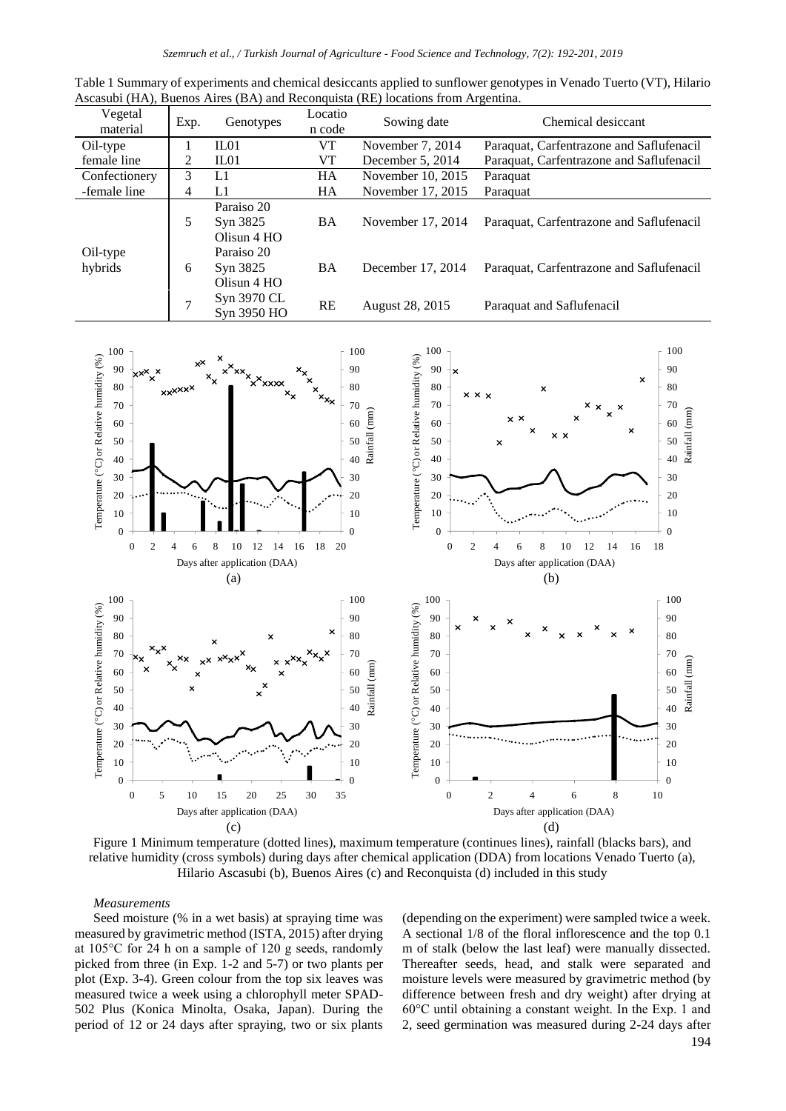| Table 1 Summary of experiments and chemical desiccants applied to sunflower genotypes in Venado Tuerto (VT), Hilario |  |  |
|----------------------------------------------------------------------------------------------------------------------|--|--|
| Ascasubi (HA), Buenos Aires (BA) and Reconquista (RE) locations from Argentina.                                      |  |  |

| Vegetal             | Exp.          | Genotypes                             | Locatio   | Sowing date       | Chemical desiccant                       |  |
|---------------------|---------------|---------------------------------------|-----------|-------------------|------------------------------------------|--|
| material            |               |                                       | n code    |                   |                                          |  |
| Oil-type            |               | IL01                                  | VT        | November 7, 2014  | Paraquat, Carfentrazone and Saflufenacil |  |
| female line         | 2             | ILO1                                  | VT        | December 5, 2014  | Paraquat, Carfentrazone and Saflufenacil |  |
| Confectionery       | 3             | L1                                    | <b>HA</b> | November 10, 2015 | Paraquat                                 |  |
| -female line        | 4             | L1                                    | HA.       | November 17, 2015 | Paraquat                                 |  |
|                     | 5             | Paraiso 20<br>Syn 3825<br>Olisun 4 HO | <b>BA</b> | November 17, 2014 | Paraquat, Carfentrazone and Saflufenacil |  |
| Oil-type<br>hybrids | 6             | Paraiso 20<br>Syn 3825<br>Olisun 4 HO | <b>BA</b> | December 17, 2014 | Paraquat, Carfentrazone and Saflufenacil |  |
|                     | $\mathcal{I}$ | Syn 3970 CL<br>Syn 3950 HO            | <b>RE</b> | August 28, 2015   | Paraquat and Saflufenacil                |  |



Figure 1 Minimum temperature (dotted lines), maximum temperature (continues lines), rainfall (blacks bars), and relative humidity (cross symbols) during days after chemical application (DDA) from locations Venado Tuerto (a), Hilario Ascasubi (b), Buenos Aires (c) and Reconquista (d) included in this study

## *Measurements*

Seed moisture (% in a wet basis) at spraying time was measured by gravimetric method (ISTA, 2015) after drying at 105°C for 24 h on a sample of 120 g seeds, randomly picked from three (in Exp. 1-2 and 5-7) or two plants per plot (Exp. 3-4). Green colour from the top six leaves was measured twice a week using a chlorophyll meter SPAD-502 Plus (Konica Minolta, Osaka, Japan). During the period of 12 or 24 days after spraying, two or six plants (depending on the experiment) were sampled twice a week. A sectional 1/8 of the floral inflorescence and the top 0.1 m of stalk (below the last leaf) were manually dissected. Thereafter seeds, head, and stalk were separated and moisture levels were measured by gravimetric method (by difference between fresh and dry weight) after drying at 60°C until obtaining a constant weight. In the Exp. 1 and 2, seed germination was measured during 2-24 days after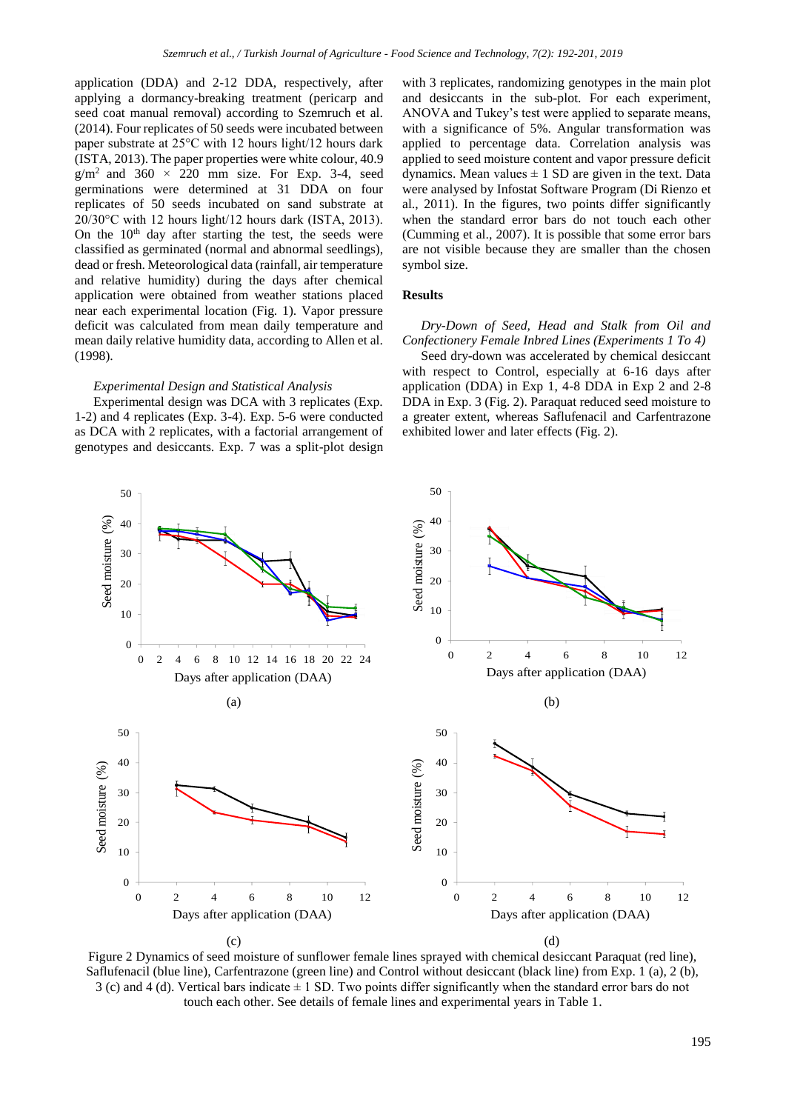application (DDA) and 2-12 DDA, respectively, after applying a dormancy-breaking treatment (pericarp and seed coat manual removal) according to Szemruch et al. (2014). Four replicates of 50 seeds were incubated between paper substrate at 25°C with 12 hours light/12 hours dark (ISTA, 2013). The paper properties were white colour, 40.9  $g/m^2$  and 360  $\times$  220 mm size. For Exp. 3-4, seed germinations were determined at 31 DDA on four replicates of 50 seeds incubated on sand substrate at 20/30°C with 12 hours light/12 hours dark (ISTA, 2013). On the 10<sup>th</sup> day after starting the test, the seeds were classified as germinated (normal and abnormal seedlings), dead or fresh. Meteorological data (rainfall, air temperature and relative humidity) during the days after chemical application were obtained from weather stations placed near each experimental location (Fig. 1). Vapor pressure deficit was calculated from mean daily temperature and mean daily relative humidity data, according to Allen et al. (1998).

#### *Experimental Design and Statistical Analysis*

Experimental design was DCA with 3 replicates (Exp. 1-2) and 4 replicates (Exp. 3-4). Exp. 5-6 were conducted as DCA with 2 replicates, with a factorial arrangement of genotypes and desiccants. Exp. 7 was a split-plot design

with 3 replicates, randomizing genotypes in the main plot and desiccants in the sub-plot. For each experiment, ANOVA and Tukey's test were applied to separate means, with a significance of 5%. Angular transformation was applied to percentage data. Correlation analysis was applied to seed moisture content and vapor pressure deficit dynamics. Mean values  $\pm$  1 SD are given in the text. Data were analysed by Infostat Software Program (Di Rienzo et al., 2011). In the figures, two points differ significantly when the standard error bars do not touch each other (Cumming et al., 2007). It is possible that some error bars are not visible because they are smaller than the chosen symbol size.

## **Results**

*Dry-Down of Seed, Head and Stalk from Oil and Confectionery Female Inbred Lines (Experiments 1 To 4)*

Seed dry-down was accelerated by chemical desiccant with respect to Control, especially at 6-16 days after application (DDA) in Exp 1, 4-8 DDA in Exp 2 and 2-8 DDA in Exp. 3 (Fig. 2). Paraquat reduced seed moisture to a greater extent, whereas Saflufenacil and Carfentrazone exhibited lower and later effects (Fig. 2).



Figure 2 Dynamics of seed moisture of sunflower female lines sprayed with chemical desiccant Paraquat (red line), Saflufenacil (blue line), Carfentrazone (green line) and Control without desiccant (black line) from Exp. 1 (a), 2 (b),  $3$  (c) and  $4$  (d). Vertical bars indicate  $\pm 1$  SD. Two points differ significantly when the standard error bars do not touch each other. See details of female lines and experimental years in Table 1.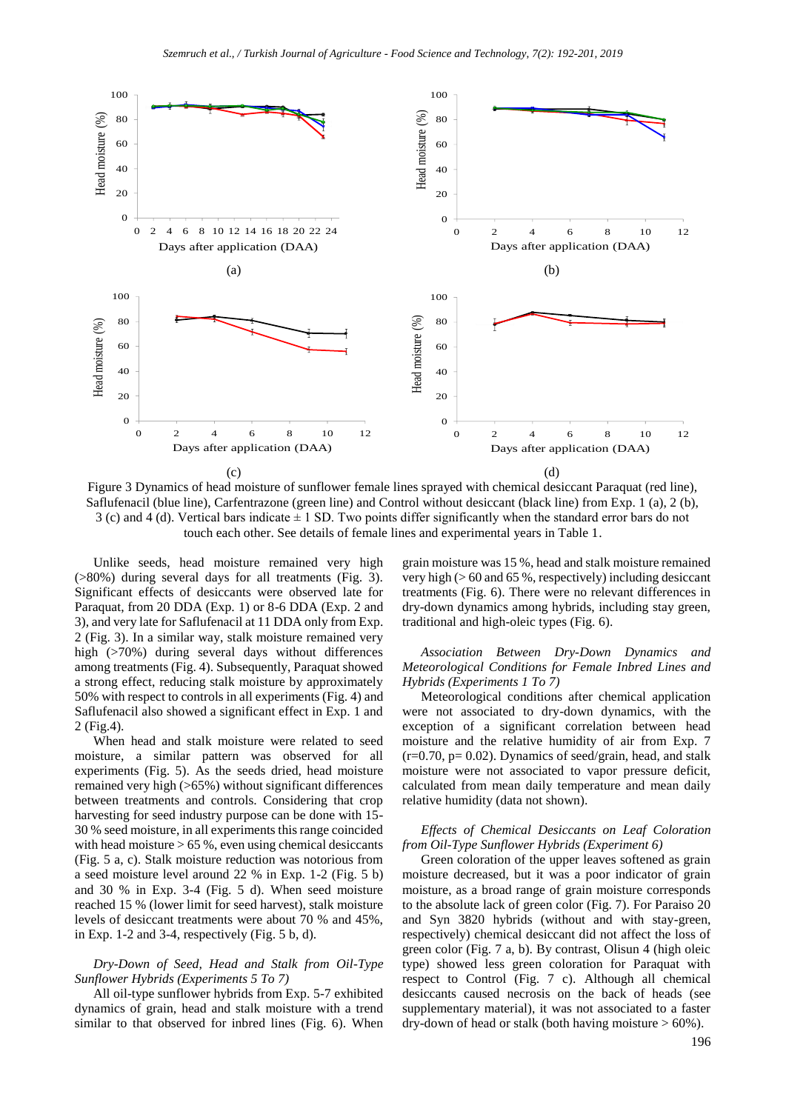

Figure 3 Dynamics of head moisture of sunflower female lines sprayed with chemical desiccant Paraquat (red line), Saflufenacil (blue line), Carfentrazone (green line) and Control without desiccant (black line) from Exp. 1 (a), 2 (b),  $3$  (c) and  $4$  (d). Vertical bars indicate  $\pm 1$  SD. Two points differ significantly when the standard error bars do not touch each other. See details of female lines and experimental years in Table 1.

Unlike seeds, head moisture remained very high (>80%) during several days for all treatments (Fig. 3). Significant effects of desiccants were observed late for Paraquat, from 20 DDA (Exp. 1) or 8-6 DDA (Exp. 2 and 3), and very late for Saflufenacil at 11 DDA only from Exp. 2 (Fig. 3). In a similar way, stalk moisture remained very high (>70%) during several days without differences among treatments (Fig. 4). Subsequently, Paraquat showed a strong effect, reducing stalk moisture by approximately 50% with respect to controls in all experiments (Fig. 4) and Saflufenacil also showed a significant effect in Exp. 1 and 2 (Fig.4).

When head and stalk moisture were related to seed moisture, a similar pattern was observed for all experiments (Fig. 5). As the seeds dried, head moisture remained very high (>65%) without significant differences between treatments and controls. Considering that crop harvesting for seed industry purpose can be done with 15- 30 % seed moisture, in all experiments this range coincided with head moisture  $> 65$  %, even using chemical desiccants (Fig. 5 a, c). Stalk moisture reduction was notorious from a seed moisture level around 22 % in Exp. 1-2 (Fig. 5 b) and 30 % in Exp. 3-4 (Fig. 5 d). When seed moisture reached 15 % (lower limit for seed harvest), stalk moisture levels of desiccant treatments were about 70 % and 45%, in Exp. 1-2 and 3-4, respectively (Fig. 5 b, d).

## *Dry-Down of Seed, Head and Stalk from Oil-Type Sunflower Hybrids (Experiments 5 To 7)*

All oil-type sunflower hybrids from Exp. 5-7 exhibited dynamics of grain, head and stalk moisture with a trend similar to that observed for inbred lines (Fig. 6). When grain moisture was 15 %, head and stalk moisture remained very high  $(> 60$  and 65%, respectively) including desiccant treatments (Fig. 6). There were no relevant differences in dry-down dynamics among hybrids, including stay green, traditional and high-oleic types (Fig. 6).

## *Association Between Dry-Down Dynamics and Meteorological Conditions for Female Inbred Lines and Hybrids (Experiments 1 To 7)*

Meteorological conditions after chemical application were not associated to dry-down dynamics, with the exception of a significant correlation between head moisture and the relative humidity of air from Exp. 7  $(r=0.70, p= 0.02)$ . Dynamics of seed/grain, head, and stalk moisture were not associated to vapor pressure deficit, calculated from mean daily temperature and mean daily relative humidity (data not shown).

#### *Effects of Chemical Desiccants on Leaf Coloration from Oil-Type Sunflower Hybrids (Experiment 6)*

Green coloration of the upper leaves softened as grain moisture decreased, but it was a poor indicator of grain moisture, as a broad range of grain moisture corresponds to the absolute lack of green color (Fig. 7). For Paraiso 20 and Syn 3820 hybrids (without and with stay-green, respectively) chemical desiccant did not affect the loss of green color (Fig. 7 a, b). By contrast, Olisun 4 (high oleic type) showed less green coloration for Paraquat with respect to Control (Fig. 7 c). Although all chemical desiccants caused necrosis on the back of heads (see supplementary material), it was not associated to a faster dry-down of head or stalk (both having moisture  $> 60\%$ ).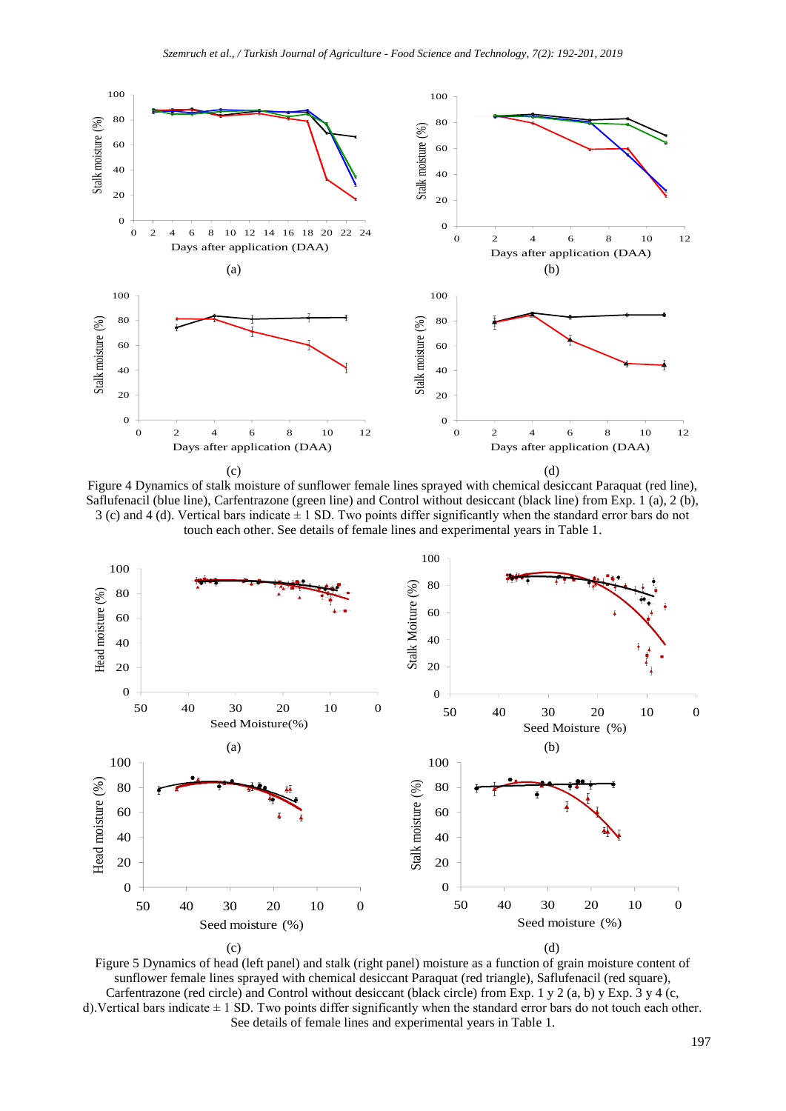

Figure 4 Dynamics of stalk moisture of sunflower female lines sprayed with chemical desiccant Paraquat (red line), Saflufenacil (blue line), Carfentrazone (green line) and Control without desiccant (black line) from Exp. 1 (a), 2 (b), 3 (c) and 4 (d). Vertical bars indicate  $\pm$  1 SD. Two points differ significantly when the standard error bars do not touch each other. See details of female lines and experimental years in Table 1.



Figure 5 Dynamics of head (left panel) and stalk (right panel) moisture as a function of grain moisture content of sunflower female lines sprayed with chemical desiccant Paraquat (red triangle), Saflufenacil (red square), Carfentrazone (red circle) and Control without desiccant (black circle) from Exp. 1 y 2 (a, b) y Exp.  $3 \times 4$  (c, d). Vertical bars indicate  $\pm 1$  SD. Two points differ significantly when the standard error bars do not touch each other. See details of female lines and experimental years in Table 1.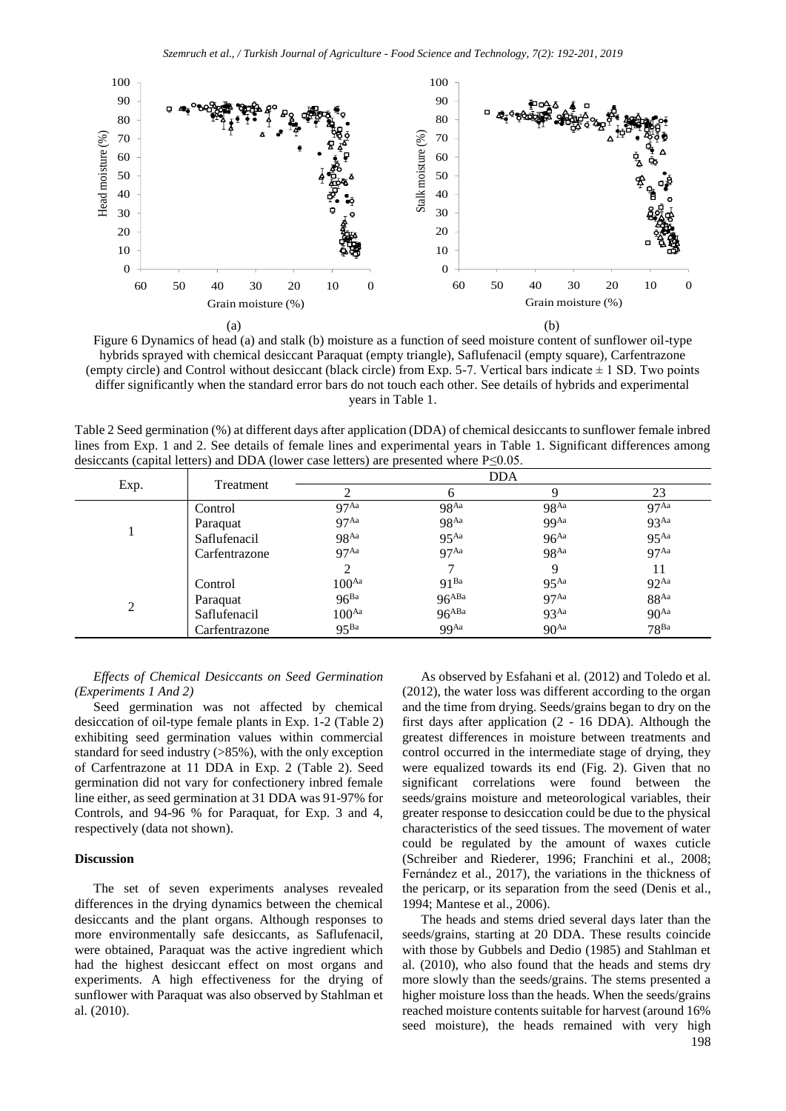

Figure 6 Dynamics of head (a) and stalk (b) moisture as a function of seed moisture content of sunflower oil-type hybrids sprayed with chemical desiccant Paraquat (empty triangle), Saflufenacil (empty square), Carfentrazone (empty circle) and Control without desiccant (black circle) from Exp. 5-7. Vertical bars indicate  $\pm$  1 SD. Two points differ significantly when the standard error bars do not touch each other. See details of hybrids and experimental years in Table 1.

Table 2 Seed germination (%) at different days after application (DDA) of chemical desiccants to sunflower female inbred lines from Exp. 1 and 2. See details of female lines and experimental years in Table 1. Significant differences among desiccants (capital letters) and DDA (lower case letters) are presented where P≤0.05.

|      |               | <b>DDA</b>        |                    |                  |                    |
|------|---------------|-------------------|--------------------|------------------|--------------------|
| Exp. | Treatment     |                   | 6                  | 9                | 23                 |
|      | Control       | 97 <sup>Aa</sup>  | $98^{Aa}$          | $98^{Aa}$        | 97 <sup>Aa</sup>   |
|      | Paraquat      | 97 <sup>Aa</sup>  | 98 <sup>Aa</sup>   | <b>99</b> Aa     | 93 <sup>Aa</sup>   |
|      | Saflufenacil  | 98 <sup>Aa</sup>  | $95$ <sup>Aa</sup> | 96 <sup>Aa</sup> | 95 <sup>Aa</sup>   |
|      | Carfentrazone | 97 <sup>Aa</sup>  | 97 <sup>Aa</sup>   | 98 <sup>Aa</sup> | 97 <sup>Aa</sup>   |
|      |               |                   |                    | 9                | 11                 |
| 2    | Control       | 100 <sup>Aa</sup> | $Q1$ Ba            | 95 <sup>Aa</sup> | $92$ <sup>Aa</sup> |
|      | Paraquat      | 96 <sup>Ba</sup>  | $96^{ABA}$         | 97 <sup>Aa</sup> | $88^{Aa}$          |
|      | Saflufenacil  | 100 <sup>Aa</sup> | $96^{ABA}$         | 93 <sup>Aa</sup> | 90 <sup>Aa</sup>   |
|      | Carfentrazone | 95 <sup>Ba</sup>  | 99Aa               | 90 <sup>Aa</sup> | 78 <sup>Ba</sup>   |

*Effects of Chemical Desiccants on Seed Germination (Experiments 1 And 2)*

Seed germination was not affected by chemical desiccation of oil-type female plants in Exp. 1-2 (Table 2) exhibiting seed germination values within commercial standard for seed industry (>85%), with the only exception of Carfentrazone at 11 DDA in Exp. 2 (Table 2). Seed germination did not vary for confectionery inbred female line either, as seed germination at 31 DDA was 91-97% for Controls, and 94-96 % for Paraquat, for Exp. 3 and 4, respectively (data not shown).

## **Discussion**

The set of seven experiments analyses revealed differences in the drying dynamics between the chemical desiccants and the plant organs. Although responses to more environmentally safe desiccants, as Saflufenacil, were obtained, Paraquat was the active ingredient which had the highest desiccant effect on most organs and experiments. A high effectiveness for the drying of sunflower with Paraquat was also observed by Stahlman et al. (2010).

As observed by Esfahani et al*.* (2012) and Toledo et al. (2012), the water loss was different according to the organ and the time from drying. Seeds/grains began to dry on the first days after application (2 - 16 DDA). Although the greatest differences in moisture between treatments and control occurred in the intermediate stage of drying, they were equalized towards its end (Fig. 2). Given that no significant correlations were found between the seeds/grains moisture and meteorological variables, their greater response to desiccation could be due to the physical characteristics of the seed tissues. The movement of water could be regulated by the amount of waxes cuticle (Schreiber and Riederer, 1996; Franchini et al., 2008; Fernández et al., 2017), the variations in the thickness of the pericarp, or its separation from the seed (Denis et al., 1994; Mantese et al., 2006).

198 The heads and stems dried several days later than the seeds/grains, starting at 20 DDA. These results coincide with those by Gubbels and Dedio (1985) and Stahlman et al. (2010), who also found that the heads and stems dry more slowly than the seeds/grains. The stems presented a higher moisture loss than the heads. When the seeds/grains reached moisture contents suitable for harvest (around 16% seed moisture), the heads remained with very high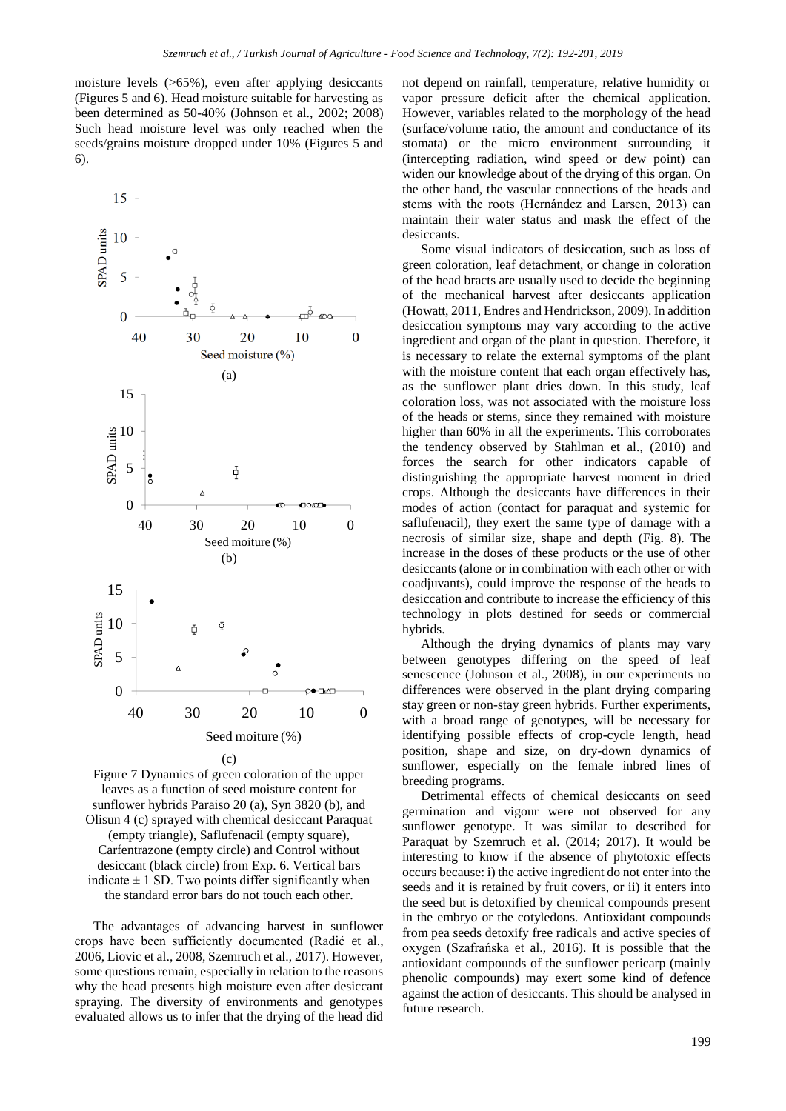moisture levels (>65%), even after applying desiccants (Figures 5 and 6). Head moisture suitable for harvesting as been determined as 50-40% (Johnson et al., 2002; 2008) Such head moisture level was only reached when the seeds/grains moisture dropped under 10% (Figures 5 and 6).



Figure 7 Dynamics of green coloration of the upper leaves as a function of seed moisture content for sunflower hybrids Paraiso 20 (a), Syn 3820 (b), and Olisun 4 (c) sprayed with chemical desiccant Paraquat (empty triangle), Saflufenacil (empty square), Carfentrazone (empty circle) and Control without desiccant (black circle) from Exp. 6. Vertical bars indicate  $\pm$  1 SD. Two points differ significantly when the standard error bars do not touch each other.

The advantages of advancing harvest in sunflower crops have been sufficiently documented (Radić et al., 2006, Liovic et al., 2008, Szemruch et al., 2017). However, some questions remain, especially in relation to the reasons why the head presents high moisture even after desiccant spraying. The diversity of environments and genotypes evaluated allows us to infer that the drying of the head did

not depend on rainfall, temperature, relative humidity or vapor pressure deficit after the chemical application. However, variables related to the morphology of the head (surface/volume ratio, the amount and conductance of its stomata) or the micro environment surrounding it (intercepting radiation, wind speed or dew point) can widen our knowledge about of the drying of this organ. On the other hand, the vascular connections of the heads and stems with the roots (Hernández and Larsen, 2013) can maintain their water status and mask the effect of the desiccants.

Some visual indicators of desiccation, such as loss of green coloration, leaf detachment, or change in coloration of the head bracts are usually used to decide the beginning of the mechanical harvest after desiccants application (Howatt, 2011, Endres and Hendrickson, 2009). In addition desiccation symptoms may vary according to the active ingredient and organ of the plant in question. Therefore, it is necessary to relate the external symptoms of the plant with the moisture content that each organ effectively has, as the sunflower plant dries down. In this study, leaf coloration loss, was not associated with the moisture loss of the heads or stems, since they remained with moisture higher than 60% in all the experiments. This corroborates the tendency observed by Stahlman et al., (2010) and forces the search for other indicators capable of distinguishing the appropriate harvest moment in dried crops. Although the desiccants have differences in their modes of action (contact for paraquat and systemic for saflufenacil), they exert the same type of damage with a necrosis of similar size, shape and depth (Fig. 8). The increase in the doses of these products or the use of other desiccants (alone or in combination with each other or with coadjuvants), could improve the response of the heads to desiccation and contribute to increase the efficiency of this technology in plots destined for seeds or commercial hybrids.

Although the drying dynamics of plants may vary between genotypes differing on the speed of leaf senescence (Johnson et al., 2008), in our experiments no differences were observed in the plant drying comparing stay green or non-stay green hybrids. Further experiments, with a broad range of genotypes, will be necessary for identifying possible effects of crop-cycle length, head position, shape and size, on dry-down dynamics of sunflower, especially on the female inbred lines of breeding programs.

Detrimental effects of chemical desiccants on seed germination and vigour were not observed for any sunflower genotype. It was similar to described for Paraquat by Szemruch et al. (2014; 2017). It would be interesting to know if the absence of phytotoxic effects occurs because: i) the active ingredient do not enter into the seeds and it is retained by fruit covers, or ii) it enters into the seed but is detoxified by chemical compounds present in the embryo or the cotyledons. Antioxidant compounds from pea seeds detoxify free radicals and active species of oxygen (Szafrańska et al., 2016). It is possible that the antioxidant compounds of the sunflower pericarp (mainly phenolic compounds) may exert some kind of defence against the action of desiccants. This should be analysed in future research.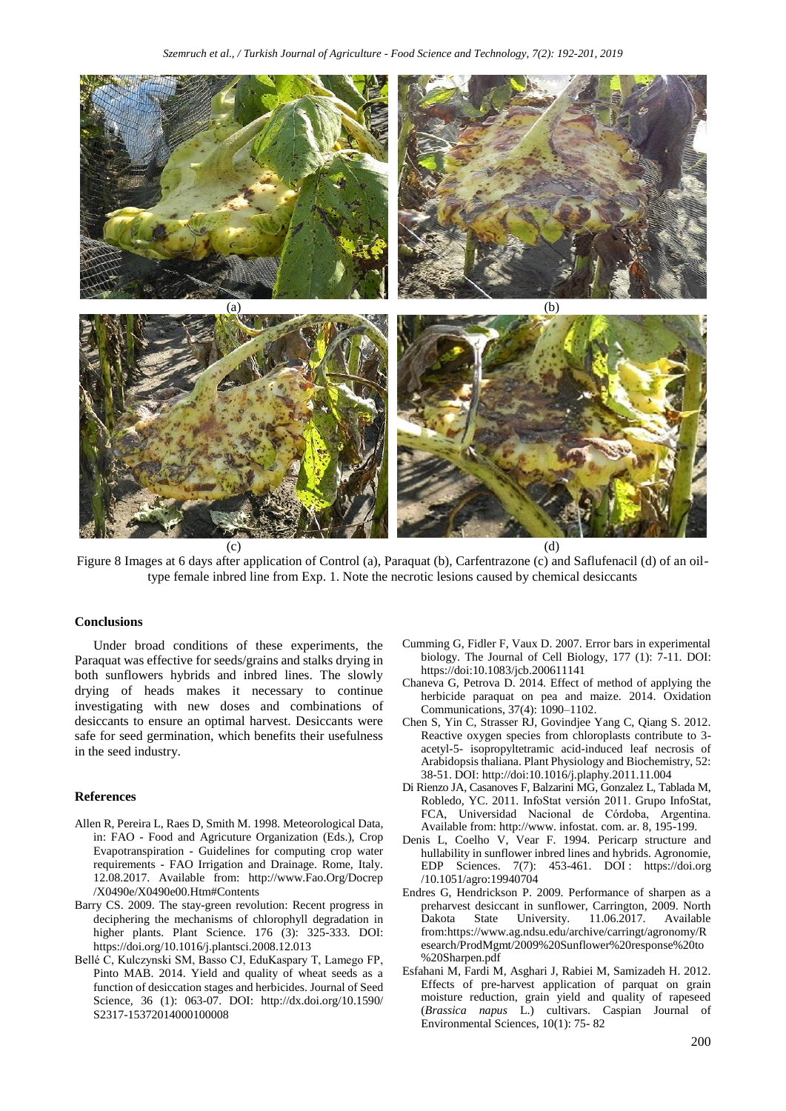

Figure 8 Images at 6 days after application of Control (a), Paraquat (b), Carfentrazone (c) and Saflufenacil (d) of an oiltype female inbred line from Exp. 1. Note the necrotic lesions caused by chemical desiccants

#### **Conclusions**

Under broad conditions of these experiments, the Paraquat was effective for seeds/grains and stalks drying in both sunflowers hybrids and inbred lines. The slowly drying of heads makes it necessary to continue investigating with new doses and combinations of desiccants to ensure an optimal harvest. Desiccants were safe for seed germination, which benefits their usefulness in the seed industry.

#### **References**

- Allen R, Pereira L, Raes D, Smith M. 1998. Meteorological Data, in: FAO - Food and Agricuture Organization (Eds.), Crop Evapotranspiration - Guidelines for computing crop water requirements - FAO Irrigation and Drainage. Rome, Italy. 12.08.2017. Available from: http://www.Fao.Org/Docrep /X0490e/X0490e00.Htm#Contents
- Barry CS. 2009. The stay-green revolution: Recent progress in deciphering the mechanisms of chlorophyll degradation in higher plants. Plant Science. 176 (3): 325-333. DOI: https://doi.org/10.1016/j.plantsci.2008.12.013
- Bellé C, Kulczynski SM, Basso CJ, EduKaspary T, Lamego FP, Pinto MAB. 2014. Yield and quality of wheat seeds as a function of desiccation stages and herbicides. Journal of Seed Science, 36 (1): 063-07. DOI: http://dx.doi.org/10.1590/ S2317-15372014000100008
- Cumming G, Fidler F, Vaux D. 2007. Error bars in experimental biology. The Journal of Cell Biology, 177 (1): 7-11. DOI: https://doi:10.1083/jcb.200611141
- Chaneva G, Petrova D. 2014. Effect of method of applying the herbicide paraquat on pea and maize. 2014. Oxidation Communications, 37(4): 1090–1102.
- Chen S, Yin C, Strasser RJ, Govindjee Yang C, Qiang S. 2012. Reactive oxygen species from chloroplasts contribute to 3 acetyl-5- isopropyltetramic acid-induced leaf necrosis of Arabidopsis thaliana. Plant Physiology and Biochemistry, 52: 38-51. DOI: http://doi:10.1016/j.plaphy.2011.11.004
- Di Rienzo JA, Casanoves F, Balzarini MG, Gonzalez L, Tablada M, Robledo, YC. 2011. InfoStat versión 2011. Grupo InfoStat, FCA, Universidad Nacional de Córdoba, Argentina. Available from: http://www. infostat. com. ar. 8, 195-199.
- Denis L, Coelho V, Vear F. 1994. Pericarp structure and hullability in sunflower inbred lines and hybrids. Agronomie, EDP Sciences. 7(7): 453-461. DOI : https://doi.org /10.1051/agro:19940704
- Endres G, Hendrickson P. 2009. Performance of sharpen as a preharvest desiccant in sunflower, Carrington, 2009. North Dakota State University. 11.06.2017. Available from:https://www.ag.ndsu.edu/archive/carringt/agronomy/R esearch/ProdMgmt/2009%20Sunflower%20response%20to %20Sharpen.pdf
- Esfahani M, Fardi M, Asghari J, Rabiei M, Samizadeh H. 2012. Effects of pre-harvest application of parquat on grain moisture reduction, grain yield and quality of rapeseed (*Brassica napus* L.) cultivars. Caspian Journal of Environmental Sciences, 10(1): 75- 82